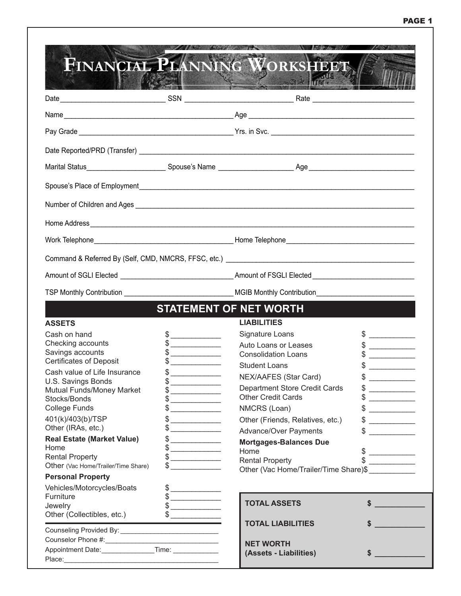|                                                                                                                                                         |                                                                                                                                                                                                                                                                                                                                                     | the the same of the                                |                                                                                                                                                                                                                                                                                                                                                                                                                                                                                                         |
|---------------------------------------------------------------------------------------------------------------------------------------------------------|-----------------------------------------------------------------------------------------------------------------------------------------------------------------------------------------------------------------------------------------------------------------------------------------------------------------------------------------------------|----------------------------------------------------|---------------------------------------------------------------------------------------------------------------------------------------------------------------------------------------------------------------------------------------------------------------------------------------------------------------------------------------------------------------------------------------------------------------------------------------------------------------------------------------------------------|
|                                                                                                                                                         |                                                                                                                                                                                                                                                                                                                                                     |                                                    |                                                                                                                                                                                                                                                                                                                                                                                                                                                                                                         |
|                                                                                                                                                         |                                                                                                                                                                                                                                                                                                                                                     |                                                    |                                                                                                                                                                                                                                                                                                                                                                                                                                                                                                         |
|                                                                                                                                                         |                                                                                                                                                                                                                                                                                                                                                     |                                                    |                                                                                                                                                                                                                                                                                                                                                                                                                                                                                                         |
|                                                                                                                                                         |                                                                                                                                                                                                                                                                                                                                                     |                                                    |                                                                                                                                                                                                                                                                                                                                                                                                                                                                                                         |
|                                                                                                                                                         |                                                                                                                                                                                                                                                                                                                                                     |                                                    |                                                                                                                                                                                                                                                                                                                                                                                                                                                                                                         |
|                                                                                                                                                         |                                                                                                                                                                                                                                                                                                                                                     |                                                    |                                                                                                                                                                                                                                                                                                                                                                                                                                                                                                         |
|                                                                                                                                                         |                                                                                                                                                                                                                                                                                                                                                     |                                                    |                                                                                                                                                                                                                                                                                                                                                                                                                                                                                                         |
|                                                                                                                                                         |                                                                                                                                                                                                                                                                                                                                                     |                                                    |                                                                                                                                                                                                                                                                                                                                                                                                                                                                                                         |
|                                                                                                                                                         |                                                                                                                                                                                                                                                                                                                                                     |                                                    |                                                                                                                                                                                                                                                                                                                                                                                                                                                                                                         |
|                                                                                                                                                         |                                                                                                                                                                                                                                                                                                                                                     |                                                    |                                                                                                                                                                                                                                                                                                                                                                                                                                                                                                         |
|                                                                                                                                                         |                                                                                                                                                                                                                                                                                                                                                     |                                                    |                                                                                                                                                                                                                                                                                                                                                                                                                                                                                                         |
|                                                                                                                                                         |                                                                                                                                                                                                                                                                                                                                                     | <b>STATEMENT OF NET WORTH</b>                      |                                                                                                                                                                                                                                                                                                                                                                                                                                                                                                         |
| <b>ASSETS</b>                                                                                                                                           |                                                                                                                                                                                                                                                                                                                                                     | <b>LIABILITIES</b>                                 |                                                                                                                                                                                                                                                                                                                                                                                                                                                                                                         |
| Cash on hand<br>Checking accounts                                                                                                                       | $\begin{picture}(20,10) \put(0,0){\line(1,0){10}} \put(15,0){\line(1,0){10}} \put(15,0){\line(1,0){10}} \put(15,0){\line(1,0){10}} \put(15,0){\line(1,0){10}} \put(15,0){\line(1,0){10}} \put(15,0){\line(1,0){10}} \put(15,0){\line(1,0){10}} \put(15,0){\line(1,0){10}} \put(15,0){\line(1,0){10}} \put(15,0){\line(1,0){10}} \put(15,0){\line(1$ | Signature Loans                                    | $\frac{1}{2}$                                                                                                                                                                                                                                                                                                                                                                                                                                                                                           |
| Savings accounts                                                                                                                                        | $\begin{array}{c c} \uparrow \end{array}$<br>$\frac{1}{2}$                                                                                                                                                                                                                                                                                          | Auto Loans or Leases<br><b>Consolidation Loans</b> |                                                                                                                                                                                                                                                                                                                                                                                                                                                                                                         |
| <b>Certificates of Deposit</b>                                                                                                                          |                                                                                                                                                                                                                                                                                                                                                     | <b>Student Loans</b>                               | $\frac{1}{\sqrt{2}}$                                                                                                                                                                                                                                                                                                                                                                                                                                                                                    |
| Cash value of Life Insurance                                                                                                                            | $\frac{1}{2}$                                                                                                                                                                                                                                                                                                                                       | NEX/AAFES (Star Card)                              |                                                                                                                                                                                                                                                                                                                                                                                                                                                                                                         |
| U.S. Savings Bonds                                                                                                                                      |                                                                                                                                                                                                                                                                                                                                                     | <b>Department Store Credit Cards</b>               | \$                                                                                                                                                                                                                                                                                                                                                                                                                                                                                                      |
| Mutual Funds/Money Market<br>Stocks/Bonds                                                                                                               | $\frac{1}{2}$<br>$\begin{array}{c} \updownarrow \\ \downarrow \end{array}$                                                                                                                                                                                                                                                                          | <b>Other Credit Cards</b>                          | $\begin{array}{cccccccccc} \multicolumn{3}{c}{} & \multicolumn{3}{c}{} & \multicolumn{3}{c}{} & \multicolumn{3}{c}{} & \multicolumn{3}{c}{} & \multicolumn{3}{c}{} & \multicolumn{3}{c}{} & \multicolumn{3}{c}{} & \multicolumn{3}{c}{} & \multicolumn{3}{c}{} & \multicolumn{3}{c}{} & \multicolumn{3}{c}{} & \multicolumn{3}{c}{} & \multicolumn{3}{c}{} & \multicolumn{3}{c}{} & \multicolumn{3}{c}{} & \multicolumn{3}{c}{} & \multicolumn{3}{c}{} & \multicolumn{3}{c}{} & \mult$<br>$\frac{1}{2}$ |
| <b>College Funds</b>                                                                                                                                    | $\begin{picture}(20,20) \put(0,0){\line(1,0){10}} \put(15,0){\line(1,0){10}} \put(15,0){\line(1,0){10}} \put(15,0){\line(1,0){10}} \put(15,0){\line(1,0){10}} \put(15,0){\line(1,0){10}} \put(15,0){\line(1,0){10}} \put(15,0){\line(1,0){10}} \put(15,0){\line(1,0){10}} \put(15,0){\line(1,0){10}} \put(15,0){\line(1,0){10}} \put(15,0){\line(1$ | NMCRS (Loan)                                       | $\frac{1}{2}$                                                                                                                                                                                                                                                                                                                                                                                                                                                                                           |
| 401(k)/403(b)/TSP                                                                                                                                       | $\begin{array}{c} \updownarrow \\ \downarrow \end{array}$                                                                                                                                                                                                                                                                                           | Other (Friends, Relatives, etc.)                   | $\frac{1}{2}$                                                                                                                                                                                                                                                                                                                                                                                                                                                                                           |
| Other (IRAs, etc.)                                                                                                                                      | $\frac{1}{2}$                                                                                                                                                                                                                                                                                                                                       | <b>Advance/Over Payments</b>                       |                                                                                                                                                                                                                                                                                                                                                                                                                                                                                                         |
| <b>Real Estate (Market Value)</b>                                                                                                                       | $\frac{1}{2}$                                                                                                                                                                                                                                                                                                                                       | <b>Mortgages-Balances Due</b>                      |                                                                                                                                                                                                                                                                                                                                                                                                                                                                                                         |
|                                                                                                                                                         | $\begin{picture}(20,10) \put(0,0){\line(1,0){10}} \put(15,0){\line(1,0){10}} \put(15,0){\line(1,0){10}} \put(15,0){\line(1,0){10}} \put(15,0){\line(1,0){10}} \put(15,0){\line(1,0){10}} \put(15,0){\line(1,0){10}} \put(15,0){\line(1,0){10}} \put(15,0){\line(1,0){10}} \put(15,0){\line(1,0){10}} \put(15,0){\line(1,0){10}} \put(15,0){\line(1$ | Home                                               |                                                                                                                                                                                                                                                                                                                                                                                                                                                                                                         |
|                                                                                                                                                         |                                                                                                                                                                                                                                                                                                                                                     | <b>Rental Property</b>                             |                                                                                                                                                                                                                                                                                                                                                                                                                                                                                                         |
|                                                                                                                                                         | $\begin{array}{c c} \uparrow \end{array}$                                                                                                                                                                                                                                                                                                           |                                                    |                                                                                                                                                                                                                                                                                                                                                                                                                                                                                                         |
|                                                                                                                                                         |                                                                                                                                                                                                                                                                                                                                                     | Other (Vac Home/Trailer/Time Share)\$              |                                                                                                                                                                                                                                                                                                                                                                                                                                                                                                         |
|                                                                                                                                                         |                                                                                                                                                                                                                                                                                                                                                     |                                                    |                                                                                                                                                                                                                                                                                                                                                                                                                                                                                                         |
|                                                                                                                                                         | $\frac{1}{2}$<br>$\frac{1}{2}$                                                                                                                                                                                                                                                                                                                      |                                                    |                                                                                                                                                                                                                                                                                                                                                                                                                                                                                                         |
| Home<br><b>Rental Property</b><br>Other (Vac Home/Trailer/Time Share)<br><b>Personal Property</b><br>Vehicles/Motorcycles/Boats<br>Furniture<br>Jewelry | $\frac{1}{2}$                                                                                                                                                                                                                                                                                                                                       | <b>TOTAL ASSETS</b>                                | $\sim$                                                                                                                                                                                                                                                                                                                                                                                                                                                                                                  |
| Other (Collectibles, etc.)                                                                                                                              | $\frac{1}{2}$                                                                                                                                                                                                                                                                                                                                       |                                                    |                                                                                                                                                                                                                                                                                                                                                                                                                                                                                                         |
|                                                                                                                                                         |                                                                                                                                                                                                                                                                                                                                                     | <b>TOTAL LIABILITIES</b>                           |                                                                                                                                                                                                                                                                                                                                                                                                                                                                                                         |
| Appointment Date: _________________Time: ______________                                                                                                 |                                                                                                                                                                                                                                                                                                                                                     | <b>NET WORTH</b>                                   |                                                                                                                                                                                                                                                                                                                                                                                                                                                                                                         |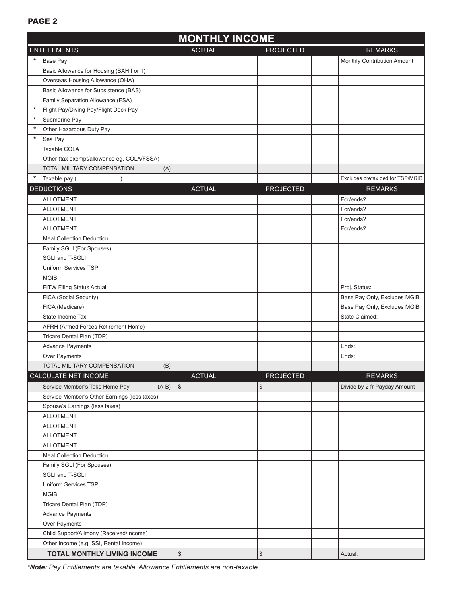### PAGE<sub>2</sub>

|         | <b>MONTHLY INCOME</b>                        |                   |  |                                           |                                  |  |  |  |
|---------|----------------------------------------------|-------------------|--|-------------------------------------------|----------------------------------|--|--|--|
|         | <b>ENTITLEMENTS</b>                          | <b>ACTUAL</b>     |  | <b>REMARKS</b>                            |                                  |  |  |  |
| *       | Base Pay                                     |                   |  |                                           | Monthly Contribution Amount      |  |  |  |
|         | Basic Allowance for Housing (BAH I or II)    |                   |  |                                           |                                  |  |  |  |
|         | Overseas Housing Allowance (OHA)             |                   |  |                                           |                                  |  |  |  |
|         | Basic Allowance for Subsistence (BAS)        |                   |  |                                           |                                  |  |  |  |
|         | Family Separation Allowance (FSA)            |                   |  |                                           |                                  |  |  |  |
| $\star$ | Flight Pay/Diving Pay/Flight Deck Pay        |                   |  |                                           |                                  |  |  |  |
| $\star$ | Submarine Pay                                |                   |  |                                           |                                  |  |  |  |
| $\ast$  | Other Hazardous Duty Pay                     |                   |  |                                           |                                  |  |  |  |
| $\star$ | Sea Pay                                      |                   |  |                                           |                                  |  |  |  |
|         | Taxable COLA                                 |                   |  |                                           |                                  |  |  |  |
|         | Other (tax exempt/allowance eg. COLA/FSSA)   |                   |  |                                           |                                  |  |  |  |
|         | TOTAL MILITARY COMPENSATION<br>(A)           |                   |  |                                           |                                  |  |  |  |
| *       | Taxable pay (                                |                   |  |                                           | Excludes pretax ded for TSP/MGIB |  |  |  |
|         | <b>DEDUCTIONS</b>                            | <b>ACTUAL</b>     |  | <b>PROJECTED</b>                          | <b>REMARKS</b>                   |  |  |  |
|         | <b>ALLOTMENT</b>                             |                   |  |                                           | For/ends?                        |  |  |  |
|         | <b>ALLOTMENT</b>                             |                   |  |                                           | For/ends?                        |  |  |  |
|         | <b>ALLOTMENT</b>                             |                   |  |                                           | For/ends?                        |  |  |  |
|         | <b>ALLOTMENT</b>                             |                   |  |                                           | For/ends?                        |  |  |  |
|         | <b>Meal Collection Deduction</b>             |                   |  |                                           |                                  |  |  |  |
|         |                                              |                   |  |                                           |                                  |  |  |  |
|         | Family SGLI (For Spouses)<br>SGLI and T-SGLI |                   |  |                                           |                                  |  |  |  |
|         |                                              |                   |  |                                           |                                  |  |  |  |
|         | Uniform Services TSP                         |                   |  |                                           |                                  |  |  |  |
|         | <b>MGIB</b>                                  |                   |  |                                           |                                  |  |  |  |
|         | FITW Filing Status Actual:                   |                   |  |                                           | Proj. Status:                    |  |  |  |
|         | FICA (Social Security)                       |                   |  |                                           | Base Pay Only, Excludes MGIB     |  |  |  |
|         | FICA (Medicare)                              |                   |  |                                           | Base Pay Only, Excludes MGIB     |  |  |  |
|         | State Income Tax                             |                   |  |                                           | State Claimed:                   |  |  |  |
|         | AFRH (Armed Forces Retirement Home)          |                   |  |                                           |                                  |  |  |  |
|         | Tricare Dental Plan (TDP)                    |                   |  |                                           |                                  |  |  |  |
|         | Advance Payments                             |                   |  |                                           | Ends:                            |  |  |  |
|         | Over Payments                                |                   |  |                                           | Ends:                            |  |  |  |
|         | (B)<br>TOTAL MILITARY COMPENSATION           |                   |  |                                           |                                  |  |  |  |
|         | CALCULATE NET INCOME                         | <b>ACTUAL</b>     |  | <b>PROJECTED</b>                          | <b>REMARKS</b>                   |  |  |  |
|         | $(A-B)$<br>Service Member's Take Home Pay    | \$                |  | \$                                        | Divide by 2 fr Payday Amount     |  |  |  |
|         | Service Member's Other Earnings (less taxes) |                   |  |                                           |                                  |  |  |  |
|         | Spouse's Earnings (less taxes)               |                   |  |                                           |                                  |  |  |  |
|         | <b>ALLOTMENT</b>                             |                   |  |                                           |                                  |  |  |  |
|         | <b>ALLOTMENT</b>                             |                   |  |                                           |                                  |  |  |  |
|         | <b>ALLOTMENT</b>                             |                   |  |                                           |                                  |  |  |  |
|         | <b>ALLOTMENT</b>                             |                   |  |                                           |                                  |  |  |  |
|         | <b>Meal Collection Deduction</b>             |                   |  |                                           |                                  |  |  |  |
|         | Family SGLI (For Spouses)                    |                   |  |                                           |                                  |  |  |  |
|         | SGLI and T-SGLI                              |                   |  |                                           |                                  |  |  |  |
|         | Uniform Services TSP                         |                   |  |                                           |                                  |  |  |  |
|         | <b>MGIB</b>                                  |                   |  |                                           |                                  |  |  |  |
|         | Tricare Dental Plan (TDP)                    |                   |  |                                           |                                  |  |  |  |
|         | <b>Advance Payments</b>                      |                   |  |                                           |                                  |  |  |  |
|         | Over Payments                                |                   |  |                                           |                                  |  |  |  |
|         | Child Support/Alimony (Received/Income)      |                   |  |                                           |                                  |  |  |  |
|         | Other Income (e.g. SSI, Rental Income)       |                   |  |                                           |                                  |  |  |  |
|         | TOTAL MONTHLY LIVING INCOME                  | $\boldsymbol{\$}$ |  | $\, \, \raisebox{12pt}{$\scriptstyle \$}$ | Actual:                          |  |  |  |

*\*Note: Pay Entitlements are taxable. Allowance Entitlements are non-taxable.*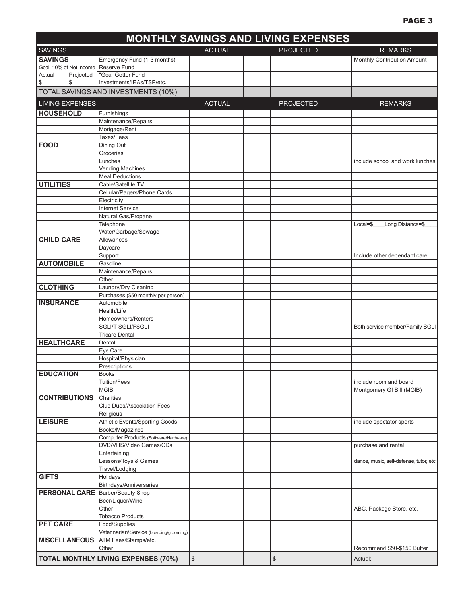#### **MONTHLY SAVINGS AND LIVING EXPENSES** SAVINGS ACTUAL PROJECTED REMARKS **SAVINGS** Emergency Fund (1-3 months) Monthly Contribution Amount<br>
Goal: 10% of Net Income Reserve Fund<br>
Monthly Contribution Amount Goal: 10% of Net Income Actual Projected | "Goal-Getter Fund \$ \$ Investments/IRAs/TSP/etc. TOTAL SAVINGS AND INVESTMENTS (10%) LIVING EXPENSES ACTUAL ACTUAL PROJECTED REMARKS **HOUSEHOLD** Furnishings Maintenance/Repairs Mortgage/Rent Taxes/Fees **FOOD** Dining Out Groceries Lunches include school and work lunches include school and work lunches Vending Machines Meal Deductions **UTILITIES** Cable/Satellite TV Cellular/Pagers/Phone Cards **Electricity** Internet Service Natural Gas/Propane Telephone **Local=\$\_\_\_\_\_Long Distance=\$\_** Water/Garbage/Sewage **CHILD CARE** Allowances Daycare Support **Include other dependant care AUTOMOBILE** Gasoline Maintenance/Repairs Other **CLOTHING** Laundry/Dry Cleaning Purchases (\$50 monthly per person) **INSURANCE** Automobile Health/Life Homeowners/Renters SGLI/T-SGLI/FSGLI Both service member/Family SGLI Tricare Dental **HEALTHCARE** Dental Eye Care Hospital/Physician Prescriptions **EDUCATION** Books Tuition/Fees include room and board include room and board MGIB Montgomery GI Bill (MGIB) **CONTRIBUTIONS** Charities Club Dues/Association Fees Religious **LEISURE** Athletic Events/Sporting Goods **include Spectator Sports** and a spectator sports Books/Magazines Computer Products (Software/Hardware) DVD/VHS/Video Games/CDs purchase and rental purchase and rental **Entertaining** Lessons/Toys & Games **dance, music, self-defense, tutor, etc.** dance, music, self-defense, tutor, etc. Travel/Lodging **GIFTS** Holidays Birthdays/Anniversaries **PERSONAL CARE** Barber/Beauty Shop Beer/Liquor/Wine Other **ABC, Package Store, etc.** The ABC, Package Store, etc. **ABC, Package Store, etc.** Tobacco Products **PET CARE** Food/Supplies Veterinarian/Service (boarding/grooming) **MISCELLANEOUS** ATM Fees/Stamps/etc. Other **Commend \$50-\$150 Buffer** Recommend \$50-\$150 Buffer **TOTAL MONTHLY LIVING EXPENSES (70%)** \$ \$ Actual: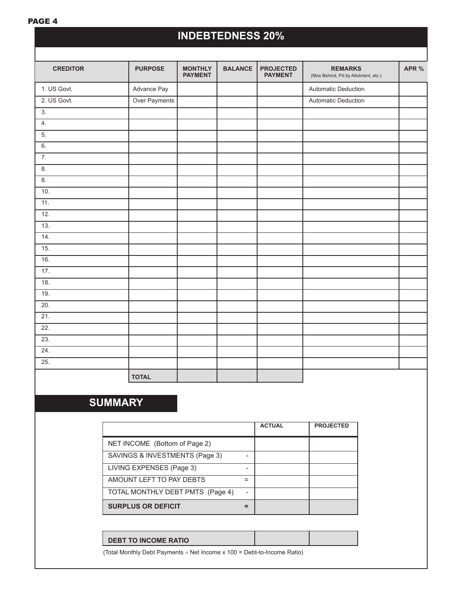### PAGE 4

# **INDEBTEDNESS 20%**

| <b>CREDITOR</b>   | <b>PURPOSE</b> | <b>MONTHLY</b><br><b>PAYMENT</b> | <b>BALANCE</b> | <b>PROJECTED</b><br><b>PAYMENT</b> | <b>REMARKS</b><br>(Mos Behind, Pd by Allotment, etc.) | APR % |
|-------------------|----------------|----------------------------------|----------------|------------------------------------|-------------------------------------------------------|-------|
| 1. US Govt.       | Advance Pay    |                                  |                |                                    | <b>Automatic Deduction</b>                            |       |
| 2. US Govt.       | Over Payments  |                                  |                |                                    | Automatic Deduction                                   |       |
| 3.                |                |                                  |                |                                    |                                                       |       |
| 4.                |                |                                  |                |                                    |                                                       |       |
| 5.                |                |                                  |                |                                    |                                                       |       |
| 6.                |                |                                  |                |                                    |                                                       |       |
| $\overline{7}$ .  |                |                                  |                |                                    |                                                       |       |
| 8.                |                |                                  |                |                                    |                                                       |       |
| 8.                |                |                                  |                |                                    |                                                       |       |
| 10.               |                |                                  |                |                                    |                                                       |       |
| 11.               |                |                                  |                |                                    |                                                       |       |
| 12.               |                |                                  |                |                                    |                                                       |       |
| 13.               |                |                                  |                |                                    |                                                       |       |
| 14.               |                |                                  |                |                                    |                                                       |       |
| 15.               |                |                                  |                |                                    |                                                       |       |
| 16.               |                |                                  |                |                                    |                                                       |       |
| 17.               |                |                                  |                |                                    |                                                       |       |
| 18.               |                |                                  |                |                                    |                                                       |       |
| 19.               |                |                                  |                |                                    |                                                       |       |
| 20.               |                |                                  |                |                                    |                                                       |       |
| 21.               |                |                                  |                |                                    |                                                       |       |
| $\overline{22}$ . |                |                                  |                |                                    |                                                       |       |
| 23.               |                |                                  |                |                                    |                                                       |       |
| 24.               |                |                                  |                |                                    |                                                       |       |
| 25.               |                |                                  |                |                                    |                                                       |       |
|                   | <b>TOTAL</b>   |                                  |                |                                    |                                                       |       |

# **SUMMARY**

|                                  |                | <b>ACTUAL</b> | <b>PROJECTED</b> |
|----------------------------------|----------------|---------------|------------------|
| NET INCOME (Bottom of Page 2)    |                |               |                  |
| SAVINGS & INVESTMENTS (Page 3)   |                |               |                  |
| LIVING EXPENSES (Page 3)         |                |               |                  |
| AMOUNT LEFT TO PAY DEBTS         | =              |               |                  |
| TOTAL MONTHLY DEBT PMTS (Page 4) | $\overline{a}$ |               |                  |
| <b>SURPLUS OR DEFICIT</b>        |                |               |                  |

(Total Monthly Debt Payments ÷ Net Income x 100 = Debt-to-Income Ratio)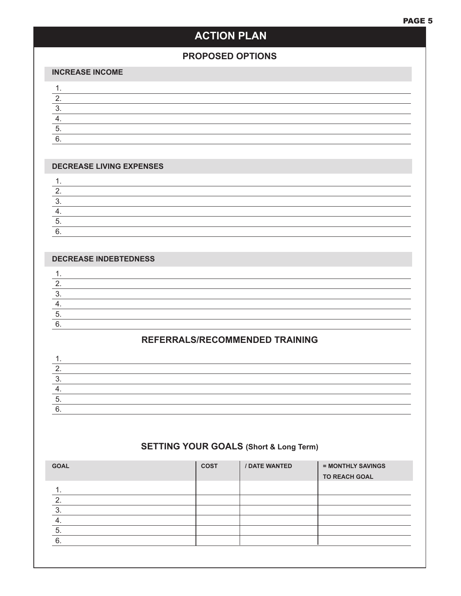# **ACTION PLAN**

### **proposed options**

#### **Increase Income**

#### **Decrease Living Expenses**

#### **Decrease Indebtedness**

## **REFERRALS/RECOMMENDED TRAINING**

## **SETTING YOUR GOALS (Short & Long Term)**

| <b>GOAL</b> | <b>COST</b> | / DATE WANTED | = MONTHLY SAVINGS<br><b>TO REACH GOAL</b> |
|-------------|-------------|---------------|-------------------------------------------|
|             |             |               |                                           |
| ◠           |             |               |                                           |
| 3           |             |               |                                           |
|             |             |               |                                           |
| 5.          |             |               |                                           |
| 6           |             |               |                                           |
|             |             |               |                                           |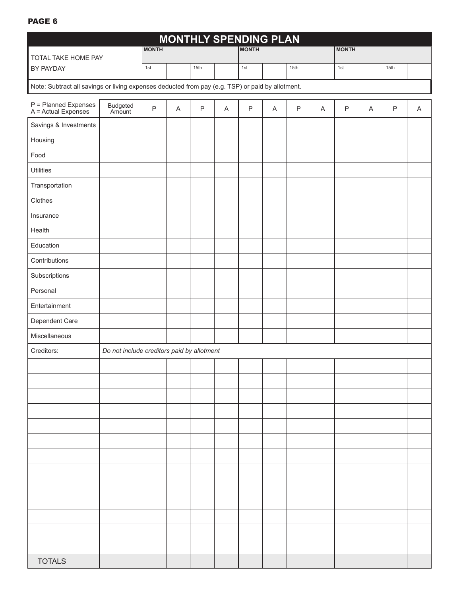### PAGE 6

|                                                                                                  |                                            |              |                           |              |   | <b>MONTHLY SPENDING PLAN</b> |             |         |                |              |                           |         |   |
|--------------------------------------------------------------------------------------------------|--------------------------------------------|--------------|---------------------------|--------------|---|------------------------------|-------------|---------|----------------|--------------|---------------------------|---------|---|
| TOTAL TAKE HOME PAY                                                                              |                                            | <b>MONTH</b> |                           |              |   | <b>MONTH</b>                 |             |         |                | <b>MONTH</b> |                           |         |   |
| BY PAYDAY                                                                                        |                                            | 1st          |                           | 15th         |   | 1st                          |             | 15th    |                | 1st          |                           | 15th    |   |
| Note: Subtract all savings or living expenses deducted from pay (e.g. TSP) or paid by allotment. |                                            |              |                           |              |   |                              |             |         |                |              |                           |         |   |
| P = Planned Expenses<br>A = Actual Expenses                                                      | Budgeted<br>Amount                         | $\sf P$      | $\boldsymbol{\mathsf{A}}$ | $\mathsf{P}$ | A | $\mathsf{P}$                 | $\mathsf A$ | $\sf P$ | $\overline{A}$ | $\sf P$      | $\boldsymbol{\mathsf{A}}$ | $\sf P$ | Α |
| Savings & Investments                                                                            |                                            |              |                           |              |   |                              |             |         |                |              |                           |         |   |
| Housing                                                                                          |                                            |              |                           |              |   |                              |             |         |                |              |                           |         |   |
| Food                                                                                             |                                            |              |                           |              |   |                              |             |         |                |              |                           |         |   |
| <b>Utilities</b>                                                                                 |                                            |              |                           |              |   |                              |             |         |                |              |                           |         |   |
| Transportation                                                                                   |                                            |              |                           |              |   |                              |             |         |                |              |                           |         |   |
| Clothes                                                                                          |                                            |              |                           |              |   |                              |             |         |                |              |                           |         |   |
| Insurance                                                                                        |                                            |              |                           |              |   |                              |             |         |                |              |                           |         |   |
| Health                                                                                           |                                            |              |                           |              |   |                              |             |         |                |              |                           |         |   |
| Education                                                                                        |                                            |              |                           |              |   |                              |             |         |                |              |                           |         |   |
| Contributions                                                                                    |                                            |              |                           |              |   |                              |             |         |                |              |                           |         |   |
| Subscriptions                                                                                    |                                            |              |                           |              |   |                              |             |         |                |              |                           |         |   |
| Personal                                                                                         |                                            |              |                           |              |   |                              |             |         |                |              |                           |         |   |
| Entertainment                                                                                    |                                            |              |                           |              |   |                              |             |         |                |              |                           |         |   |
| Dependent Care                                                                                   |                                            |              |                           |              |   |                              |             |         |                |              |                           |         |   |
| Miscellaneous                                                                                    |                                            |              |                           |              |   |                              |             |         |                |              |                           |         |   |
| Creditors:                                                                                       | Do not include creditors paid by allotment |              |                           |              |   |                              |             |         |                |              |                           |         |   |
|                                                                                                  |                                            |              |                           |              |   |                              |             |         |                |              |                           |         |   |
|                                                                                                  |                                            |              |                           |              |   |                              |             |         |                |              |                           |         |   |
|                                                                                                  |                                            |              |                           |              |   |                              |             |         |                |              |                           |         |   |
|                                                                                                  |                                            |              |                           |              |   |                              |             |         |                |              |                           |         |   |
|                                                                                                  |                                            |              |                           |              |   |                              |             |         |                |              |                           |         |   |
|                                                                                                  |                                            |              |                           |              |   |                              |             |         |                |              |                           |         |   |
|                                                                                                  |                                            |              |                           |              |   |                              |             |         |                |              |                           |         |   |
|                                                                                                  |                                            |              |                           |              |   |                              |             |         |                |              |                           |         |   |
|                                                                                                  |                                            |              |                           |              |   |                              |             |         |                |              |                           |         |   |
|                                                                                                  |                                            |              |                           |              |   |                              |             |         |                |              |                           |         |   |
|                                                                                                  |                                            |              |                           |              |   |                              |             |         |                |              |                           |         |   |
|                                                                                                  |                                            |              |                           |              |   |                              |             |         |                |              |                           |         |   |
|                                                                                                  |                                            |              |                           |              |   |                              |             |         |                |              |                           |         |   |
| <b>TOTALS</b>                                                                                    |                                            |              |                           |              |   |                              |             |         |                |              |                           |         |   |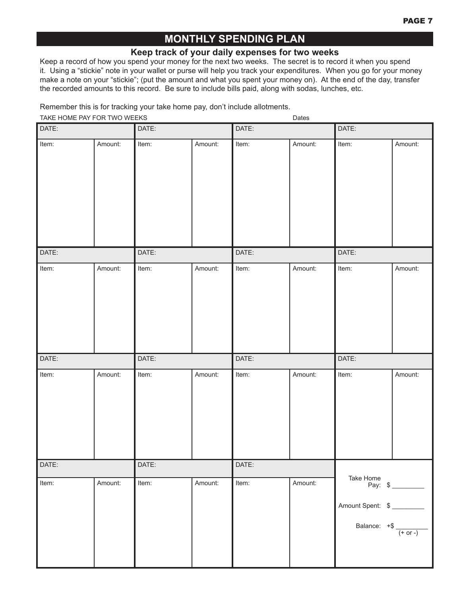# **monthly spending PLAN**

### **Keep track of your daily expenses for two weeks**

Keep a record of how you spend your money for the next two weeks. The secret is to record it when you spend it. Using a "stickie" note in your wallet or purse will help you track your expenditures. When you go for your money make a note on your "stickie"; (put the amount and what you spent your money on). At the end of the day, transfer the recorded amounts to this record. Be sure to include bills paid, along with sodas, lunches, etc.

Remember this is for tracking your take home pay, don't include allotments.

| TAKE HOME PAY FOR TWO WEEKS |         |       | $\overline{\phantom{a}}$ |       | Dates   |                  |                                                             |  |
|-----------------------------|---------|-------|--------------------------|-------|---------|------------------|-------------------------------------------------------------|--|
| DATE:                       |         | DATE: |                          | DATE: |         | DATE:            |                                                             |  |
| Item:                       | Amount: | Item: | Amount:                  | Item: | Amount: | Item:            | Amount:                                                     |  |
| DATE:                       |         | DATE: |                          | DATE: |         | DATE:            |                                                             |  |
| Item:                       | Amount: | Item: | Amount:                  | Item: | Amount: | Item:            | Amount:                                                     |  |
| DATE:                       |         | DATE: |                          | DATE: |         | DATE:            |                                                             |  |
| Item:                       | Amount: | Item: | Amount:                  | Item: | Amount: | Item:            | Amount:                                                     |  |
| DATE:                       |         | DATE: |                          | DATE: |         |                  |                                                             |  |
| Item:                       | Amount: | Item: | Amount:                  | Item: | Amount: | Amount Spent: \$ | Take Home<br>Pay: $\frac{1}{2}$<br>Balance: $+$ \$ $+$ 0r - |  |